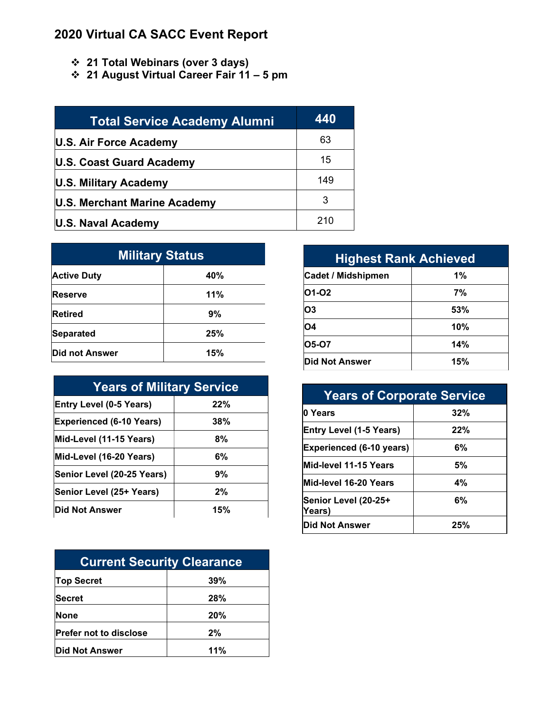## **2020 Virtual CA SACC Event Report**

- **21 Total Webinars (over 3 days)**
- **21 August Virtual Career Fair 11 – 5 pm**

| <b>Total Service Academy Alumni</b> | 440 |
|-------------------------------------|-----|
| U.S. Air Force Academy              | 63  |
| U.S. Coast Guard Academy            | 15  |
| U.S. Military Academy               | 149 |
| U.S. Merchant Marine Academy        | 3   |
| U.S. Naval Academy                  | 210 |

| <b>Military Status</b> |     |  |
|------------------------|-----|--|
| <b>Active Duty</b>     | 40% |  |
| Reserve                | 11% |  |
| <b>Retired</b>         | 9%  |  |
| <b>Separated</b>       | 25% |  |
| Did not Answer         | 15% |  |

| <b>Years of Military Service</b> |     |  |
|----------------------------------|-----|--|
| <b>Entry Level (0-5 Years)</b>   | 22% |  |
| <b>Experienced (6-10 Years)</b>  | 38% |  |
| Mid-Level (11-15 Years)          | 8%  |  |
| Mid-Level (16-20 Years)          | 6%  |  |
| Senior Level (20-25 Years)       | 9%  |  |
| Senior Level (25+ Years)         | 2%  |  |
| Did Not Answer                   | 15% |  |

| <b>Current Security Clearance</b> |     |  |
|-----------------------------------|-----|--|
| <b>Top Secret</b>                 | 39% |  |
| <b>Secret</b>                     | 28% |  |
| None                              | 20% |  |
| <b>Prefer not to disclose</b>     | 2%  |  |
| <b>Did Not Answer</b>             | 11% |  |

| <b>Highest Rank Achieved</b> |       |  |
|------------------------------|-------|--|
| <b>Cadet / Midshipmen</b>    | $1\%$ |  |
| 01-02                        | 7%    |  |
| O <sub>3</sub>               | 53%   |  |
| <b>O4</b>                    | 10%   |  |
| <b>05-07</b>                 | 14%   |  |
| <b>IDid Not Answer</b>       | 15%   |  |

| <b>Years of Corporate Service</b> |     |  |
|-----------------------------------|-----|--|
| 0 Years                           | 32% |  |
| <b>Entry Level (1-5 Years)</b>    | 22% |  |
| <b>Experienced (6-10 years)</b>   | 6%  |  |
| Mid-level 11-15 Years             | 5%  |  |
| Mid-level 16-20 Years             | 4%  |  |
| Senior Level (20-25+<br>Years)    | 6%  |  |
| <b>Did Not Answer</b>             | 25% |  |